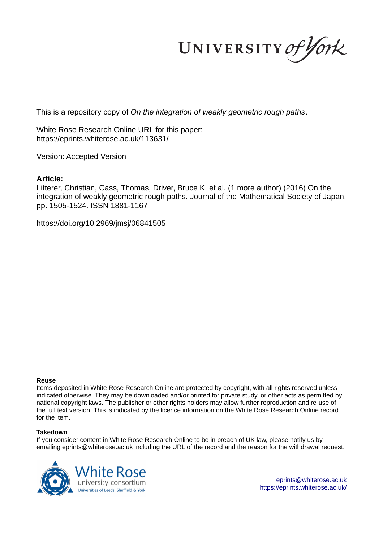UNIVERSITY of York

This is a repository copy of *On the integration of weakly geometric rough paths*.

White Rose Research Online URL for this paper: https://eprints.whiterose.ac.uk/113631/

Version: Accepted Version

#### **Article:**

Litterer, Christian, Cass, Thomas, Driver, Bruce K. et al. (1 more author) (2016) On the integration of weakly geometric rough paths. Journal of the Mathematical Society of Japan. pp. 1505-1524. ISSN 1881-1167

https://doi.org/10.2969/jmsj/06841505

#### **Reuse**

Items deposited in White Rose Research Online are protected by copyright, with all rights reserved unless indicated otherwise. They may be downloaded and/or printed for private study, or other acts as permitted by national copyright laws. The publisher or other rights holders may allow further reproduction and re-use of the full text version. This is indicated by the licence information on the White Rose Research Online record for the item.

#### **Takedown**

If you consider content in White Rose Research Online to be in breach of UK law, please notify us by emailing eprints@whiterose.ac.uk including the URL of the record and the reason for the withdrawal request.



eprints@whiterose.ac.uk https://eprints.whiterose.ac.uk/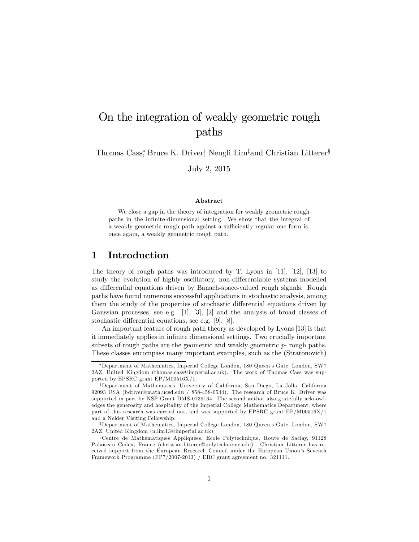# On the integration of weakly geometric rough paths

Thomas Cass,<sup>\*</sup> Bruce K. Driver,<sup>†</sup> Nengli Lim<sup>‡</sup>and Christian Litterer<sup>§</sup>

July 2, 2015

#### Abstract

We close a gap in the theory of integration for weakly geometric rough paths in the infinite-dimensional setting. We show that the integral of a weakly geometric rough path against a sufficiently regular one form is, once again, a weakly geometric rough path.

## 1 Introduction

The theory of rough paths was introduced by T. Lyons in [11], [12], [13] to study the evolution of highly oscillatory, non-differentiable systems modelled as differential equations driven by Banach-space-valued rough signals. Rough paths have found numerous successful applications in stochastic analysis, among them the study of the properties of stochastic differential equations driven by Gaussian processes, see e.g. [1], [3], [2] and the analysis of broad classes of stochastic differential equations, see e.g.  $[9]$ ,  $[8]$ .

An important feature of rough path theory as developed by Lyons [13] is that it immediately applies in infinite dimensional settings. Two crucially important subsets of rough paths are the geometric and weakly geometric p- rough paths. These classes encompass many important examples, such as the (Stratonovich)

<sup>\*</sup>Department of Mathematics, Imperial College London, 180 Queen's Gate, London, SW7 2AZ, United Kingdom (thomas.cass@imperial.ac.uk). The work of Thomas Cass was supported by EPSRC grant EP/M00516X/1.

<sup>&</sup>lt;sup>†</sup>Department of Mathematics, University of California, San Diego, La Jolla, California 92093 USA (bdriver@math.ucsd.edu / 858-458-0544). The research of Bruce K. Driver was supported in part by NSF Grant DMS-0739164. The second author also gratefully acknowledges the generosity and hospitality of the Imperial College Mathematics Department, where part of this research was carried out, and was supported by EPSRC grant EP/M00516X/1 and a Nelder Visiting Fellowship.

<sup>&</sup>lt;sup>‡</sup>Department of Mathematics, Imperial College London, 180 Queen's Gate, London, SW7 2AZ, United Kingdom (n.lim13@imperial.ac.uk)

<sup>x</sup>Centre de MathÈmatiques AppliquÈes, Ecole Polytechnique, Route de Saclay, 91128 Palaiseau Cedex, France (christian.litterer@polytechnique.edu). Christian Litterer has received support from the European Research Council under the European Unionís Seventh Framework Programme (FP7/2007-2013) / ERC grant agreement no. 321111.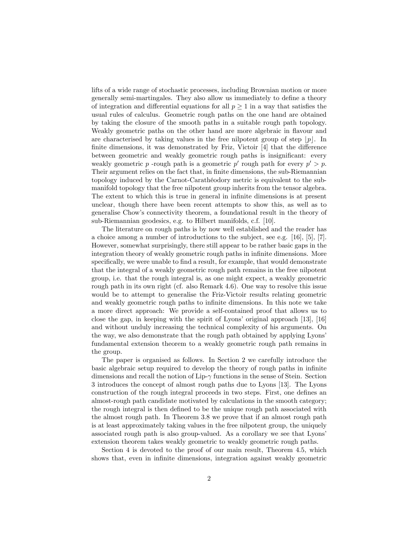lifts of a wide range of stochastic processes, including Brownian motion or more generally semi-martingales. They also allow us immediately to define a theory of integration and differential equations for all  $p \geq 1$  in a way that satisfies the usual rules of calculus. Geometric rough paths on the one hand are obtained by taking the closure of the smooth paths in a suitable rough path topology. Weakly geometric paths on the other hand are more algebraic in flavour and are characterised by taking values in the free nilpotent group of step  $|p|$ . In finite dimensions, it was demonstrated by Friz, Victoir  $[4]$  that the difference between geometric and weakly geometric rough paths is insignificant: every weakly geometric p-rough path is a geometric p' rough path for every  $p' > p$ . Their argument relies on the fact that, in finite dimensions, the sub-Riemannian topology induced by the Carnot-Carathéodory metric is equivalent to the submanifold topology that the free nilpotent group inherits from the tensor algebra. The extent to which this is true in general in infinite dimensions is at present unclear, though there have been recent attempts to show this, as well as to generalise Chowís connectivity theorem, a foundational result in the theory of sub-Riemannian geodesics, e.g. to Hilbert manifolds, c.f. [10].

The literature on rough paths is by now well established and the reader has a choice among a number of introductions to the subject, see e.g. [16], [5], [7]. However, somewhat surprisingly, there still appear to be rather basic gaps in the integration theory of weakly geometric rough paths in infinite dimensions. More specifically, we were unable to find a result, for example, that would demonstrate that the integral of a weakly geometric rough path remains in the free nilpotent group, i.e. that the rough integral is, as one might expect, a weakly geometric rough path in its own right (cf. also Remark 4.6). One way to resolve this issue would be to attempt to generalise the Friz-Victoir results relating geometric and weakly geometric rough paths to infinite dimensions. In this note we take a more direct approach: We provide a self-contained proof that allows us to close the gap, in keeping with the spirit of Lyons' original approach  $[13]$ ,  $[16]$ and without unduly increasing the technical complexity of his arguments. On the way, we also demonstrate that the rough path obtained by applying Lyons' fundamental extension theorem to a weakly geometric rough path remains in the group.

The paper is organised as follows. In Section 2 we carefully introduce the basic algebraic setup required to develop the theory of rough paths in infinite dimensions and recall the notion of  $\text{Lip-}\gamma$  functions in the sense of Stein. Section 3 introduces the concept of almost rough paths due to Lyons [13]. The Lyons construction of the rough integral proceeds in two steps. First, one defines an almost-rough path candidate motivated by calculations in the smooth category; the rough integral is then defined to be the unique rough path associated with the almost rough path. In Theorem 3.8 we prove that if an almost rough path is at least approximately taking values in the free nilpotent group, the uniquely associated rough path is also group-valued. As a corollary we see that Lyons' extension theorem takes weakly geometric to weakly geometric rough paths.

Section 4 is devoted to the proof of our main result, Theorem 4.5, which shows that, even in infinite dimensions, integration against weakly geometric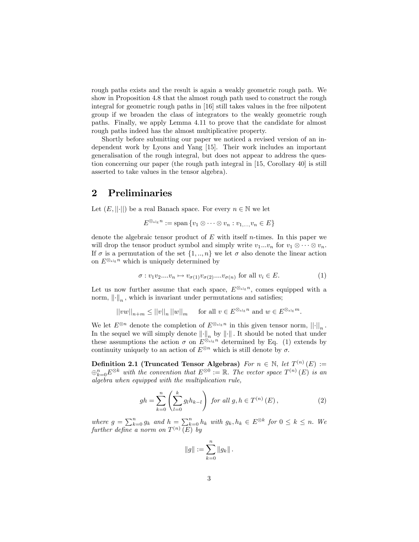rough paths exists and the result is again a weakly geometric rough path. We show in Proposition 4.8 that the almost rough path used to construct the rough integral for geometric rough paths in [16] still takes values in the free nilpotent group if we broaden the class of integrators to the weakly geometric rough paths. Finally, we apply Lemma 4.11 to prove that the candidate for almost rough paths indeed has the almost multiplicative property.

Shortly before submitting our paper we noticed a revised version of an independent work by Lyons and Yang [15]. Their work includes an important generalisation of the rough integral, but does not appear to address the question concerning our paper (the rough path integral in [15, Corollary 40] is still asserted to take values in the tensor algebra).

## 2 Preliminaries

Let  $(E, ||\cdot||)$  be a real Banach space. For every  $n \in \mathbb{N}$  we let

$$
E^{\otimes_{\text{alg}} n} := \text{span}\{v_1 \otimes \cdots \otimes v_n : v_{1,\dots, v_n} \in E\}
$$

denote the algebraic tensor product of  $E$  with itself *n*-times. In this paper we will drop the tensor product symbol and simply write  $v_1...v_n$  for  $v_1 \otimes \cdots \otimes v_n$ . If  $\sigma$  is a permutation of the set  $\{1, ..., n\}$  we let  $\sigma$  also denote the linear action on  $E^{\otimes_{\text{alg}} n}$  which is uniquely determined by

$$
\sigma: v_1 v_2 \dots v_n \mapsto v_{\sigma(1)} v_{\sigma(2)} \dots v_{\sigma(n)} \text{ for all } v_i \in E. \tag{1}
$$

Let us now further assume that each space,  $E^{\otimes_{\text{alg}} n}$ , comes equipped with a norm,  $\left\| \cdot \right\|_n$ , which is invariant under permutations and satisfies;

$$
||vw||_{n+m} \le ||v||_n ||w||_m \quad \text{ for all } v \in E^{\otimes_{\text{alg}} n} \text{ and } w \in E^{\otimes_{\text{alg}} m}.
$$

We let  $E^{\otimes n}$  denote the completion of  $E^{\otimes_{\text{alg}} n}$  in this given tensor norm,  $|| \cdot ||_n$ . In the sequel we will simply denote  $\lVert \cdot \rVert_n$  by  $\lVert \cdot \rVert$ . It should be noted that under these assumptions the action  $\sigma$  on  $E^{\otimes_{\text{alg}} n}$  determined by Eq. (1) extends by continuity uniquely to an action of  $E^{\otimes n}$  which is still denote by  $\sigma$ .

Definition 2.1 (Truncated Tensor Algebras) For  $n \in \mathbb{N}$ , let  $T^{(n)}(E)$  :=  $\oplus_{k=0}^n E^{\otimes k}$  with the convention that  $E^{\otimes 0} := \mathbb{R}$ . The vector space  $T^{(n)}(E)$  is an algebra when equipped with the multiplication rule,

$$
gh = \sum_{k=0}^{n} \left( \sum_{l=0}^{k} g_l h_{k-l} \right) \text{ for all } g, h \in T^{(n)}(E), \qquad (2)
$$

where  $g = \sum_{k=0}^n g_k$  and  $h = \sum_{k=0}^n h_k$  with  $g_k, h_k \in E^{\otimes k}$  for  $0 \leq k \leq n$ . We further define a norm on  $T^{(n)}(E)$  by

$$
||g|| := \sum_{k=0}^{n} ||g_k||.
$$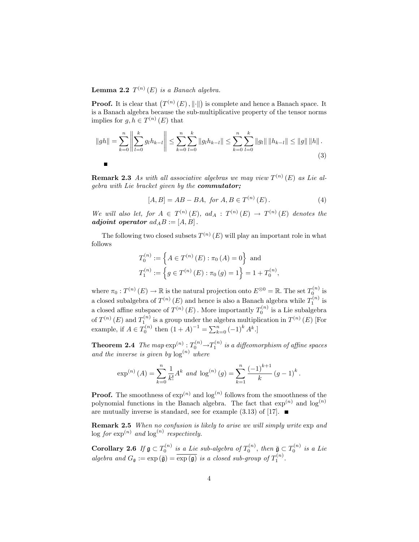**Lemma 2.2**  $T^{(n)}(E)$  is a Banach algebra.

**Proof.** It is clear that  $(T^{(n)}(E), \|\cdot\|)$  is complete and hence a Banach space. It is a Banach algebra because the sub-multiplicative property of the tensor norms implies for  $g, h \in T^{(n)}(E)$  that

$$
||gh|| = \sum_{k=0}^{n} \left\| \sum_{l=0}^{k} g_l h_{k-l} \right\| \le \sum_{k=0}^{n} \sum_{l=0}^{k} ||g_l h_{k-l}|| \le \sum_{k=0}^{n} \sum_{l=0}^{k} ||g_l|| ||h_{k-l}|| \le ||g|| ||h||.
$$
\n(3)

**Remark 2.3** As with all associative algebras we may view  $T^{(n)}(E)$  as Lie algebra with Lie bracket given by the **commutator**;

$$
[A, B] = AB - BA, \text{ for } A, B \in T^{(n)}(E). \tag{4}
$$

;

We will also let, for  $A \in T^{(n)}(E)$ ,  $ad_A : T^{(n)}(E) \rightarrow T^{(n)}(E)$  denotes the adjoint operator  $ad_A B := [A, B]$ .

The following two closed subsets  $T^{(n)}(E)$  will play an important role in what follows

$$
T_0^{(n)} := \left\{ A \in T^{(n)}(E) : \pi_0(A) = 0 \right\} \text{ and}
$$
  

$$
T_1^{(n)} := \left\{ g \in T^{(n)}(E) : \pi_0(g) = 1 \right\} = 1 + T_0^{(n)}
$$

where  $\pi_0 : T^{(n)}(E) \to \mathbb{R}$  is the natural projection onto  $E^{\otimes 0} = \mathbb{R}$ . The set  $T_0^{(n)}$  is a closed subalgebra of  $T^{(n)}(E)$  and hence is also a Banach algebra while  $T_1^{(n)}$  is a closed affine subspace of  $T^{(n)}(E)$ . More importantly  $T_0^{(n)}$  is a Lie subalgebra of  $T^{(n)}(E)$  and  $T_1^{(n)}$  is a group under the algebra multiplication in  $T^{(n)}(E)$  [For example, if  $A \in T_0^{(n)}$  then  $(1 + A)^{-1} = \sum_{k=0}^n (-1)^k A^k$ .

**Theorem 2.4** The map  $\exp^{(n)}: T_0^{(n)} \rightarrow T_1^{(n)}$  is a diffeomorphism of affine spaces and the inverse is given by  $log^{(n)}$  where

$$
\exp^{(n)}(A) = \sum_{k=0}^{n} \frac{1}{k!} A^k
$$
 and  $\log^{(n)}(g) = \sum_{k=1}^{n} \frac{(-1)^{k+1}}{k} (g-1)^k$ .

**Proof.** The smoothness of  $exp^{(n)}$  and  $log^{(n)}$  follows from the smoothness of the polynomial functions in the Banach algebra. The fact that  $\exp^{(n)}$  and  $\log^{(n)}$ are mutually inverse is standard, see for example  $(3.13)$  of [17].

Remark 2.5 When no confusion is likely to arise we will simply write  $\exp$  and  $\log for \exp^{(n)}$  and  $\log^{(n)}$  respectively.

**Corollary 2.6** If  $\mathfrak{g} \subset T_0^{(n)}$  is a Lie sub-algebra of  $T_0^{(n)}$ , then  $\bar{\mathfrak{g}} \subset T_0^{(n)}$  is a Lie algebra and  $G_{\mathfrak{g}} := \exp\left(\overline{\mathfrak{g}}\right) = \overline{\exp\left(\mathfrak{g}\right)}$  is a closed sub-group of  $T_1^{(n)}$ .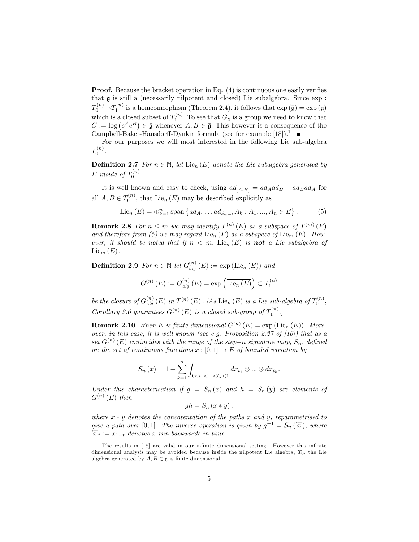**Proof.** Because the bracket operation in Eq.  $(4)$  is continuous one easily verifies that  $\bar{\mathfrak{g}}$  is still a (necessarily nilpotent and closed) Lie subalgebra. Since  $\exp$ :  $T_0^{(n)} \rightarrow T_1^{(n)}$  is a homeomorphism (Theorem 2.4), it follows that  $\exp(\bar{\mathfrak{g}}) = \overline{\exp(\mathfrak{g})}$ which is a closed subset of  $T_1^{(n)}$ . To see that  $G_{\mathfrak{g}}$  is a group we need to know that  $C := \log (e^A e^B) \in \bar{\mathfrak{g}}$  whenever  $A, B \in \bar{\mathfrak{g}}$ . This however is a consequence of the Campbell-Baker-Hausdorff-Dynkin formula (see for example [18]).<sup>1</sup>

For our purposes we will most interested in the following Lie sub-algebra  $T_0^{(n)}$ .

**Definition 2.7** For  $n \in \mathbb{N}$ , let Lie<sub>n</sub>  $(E)$  denote the Lie subalgebra generated by E inside of  $T_0^{(n)}$ .

It is well known and easy to check, using  $ad_{[A,B]} = ad_A ad_B - ad_B ad_A$  for all  $A, B \in T_0^{(n)}$ , that Lie<sub>n</sub>  $(E)$  may be described explicitly as

$$
Lie_n(E) = \bigoplus_{k=1}^n \text{span}\left\{ ad_{A_1} \dots ad_{A_{k-1}} A_k : A_1, ..., A_n \in E \right\}.
$$
 (5)

**Remark 2.8** For  $n \leq m$  we may identify  $T^{(n)}(E)$  as a subspace of  $T^{(m)}(E)$ and therefore from (5) we may regard  $\text{Lie}_n(E)$  as a subspace of  $\text{Lie}_m(E)$ . However, it should be noted that if  $n < m$ , Lie<sub>n</sub>  $(E)$  is **not** a Lie subalgebra of  $\text{Lie}_m(E)$ .

**Definition 2.9** For  $n \in \mathbb{N}$  let  $G_{alg}^{(n)}(E) := \exp(\mathrm{Lie}_n(E))$  and

$$
G^{(n)}\left(E\right) := \overline{G_{alg}^{(n)}\left(E\right)} = \exp\left(\overline{\mathrm{Lie}_n\left(E\right)}\right) \subset T_1^{(n)}
$$

be the closure of  $G_{alg}^{(n)}(E)$  in  $T^{(n)}(E)$ . [As Lie<sub>n</sub> (E) is a Lie sub-algebra of  $T_0^{(n)}$ , Corollary 2.6 guarantees  $G^{(n)}(E)$  is a closed sub-group of  $T_1^{(n)}$ .

**Remark 2.10** When E is finite dimensional  $G^{(n)}(E) = \exp(\mathrm{Lie}_n(E))$ . Moreover, in this case, it is well known (see e.g. Proposition 2.27 of  $[16]$ ) that as a set  $G^{(n)}(E)$  conincides with the range of the step-n signature map,  $S_n$ , defined on the set of continuous functions  $x : [0,1] \to E$  of bounded variation by

$$
S_n(x) = 1 + \sum_{k=1}^n \int_{0 < t_1 < \ldots < t_k < 1} dx_{t_1} \otimes \ldots \otimes dx_{t_k}.
$$

Under this characterisation if  $g = S_n(x)$  and  $h = S_n(y)$  are elements of  $G^{(n)}(E)$  then

$$
gh = S_n (x * y),
$$

where  $x * y$  denotes the concatentation of the paths x and y, reparametrised to give a path over [0,1]. The inverse operation is given by  $g^{-1} = S_n(\overleftarrow{x})$ , where  $\overleftarrow{x}_t := x_{1-t}$  denotes x run backwards in time.

<sup>&</sup>lt;sup>1</sup>The results in [18] are valid in our infinite dimensional setting. However this infinite dimensional analysis may be avoided because inside the nilpotent Lie algebra,  $T_0$ , the Lie algebra generated by  $A, B \in \overline{\mathfrak{g}}$  is finite dimensional.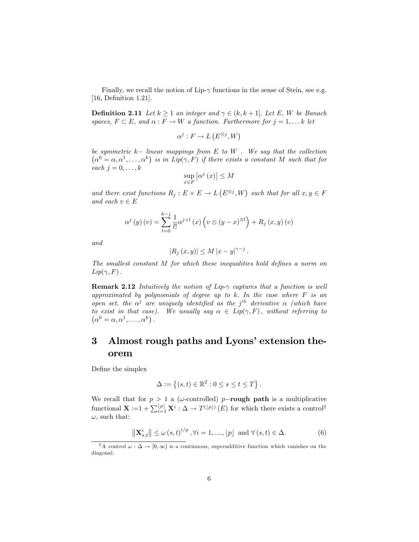Finally, we recall the notion of Lip- $\gamma$  functions in the sense of Stein, see e.g. [16, Definition 1.21].

**Definition 2.11** Let  $k \geq 1$  an integer and  $\gamma \in (k, k + 1]$ . Let E, W be Banach spaces,  $F \subset E$ , and  $\alpha : F \to W$  a function. Furthermore for  $j = 1, \dots k$  let

$$
\alpha^j : F \to L(E^{\otimes j}, W)
$$

be symmetric  $k-$  linear mappings from  $E$  to  $W$ . We say that the collection  $(\alpha^0 = \alpha, \alpha^1, \ldots, \alpha^k)$  is in  $Lip(\gamma, F)$  if there exists a constant M such that for each  $j = 0, \ldots, k$ 

$$
\sup_{x\in F}\left|\alpha^{j}\left(x\right)\right|\leq M
$$

and there exist functions  $R_j: E \times E \to L(E^{\otimes j}, W)$  such that for all  $x, y \in F$ and each  $v \in E$ 

$$
\alpha^{j}(y)(v) = \sum_{l=0}^{k-j} \frac{1}{l!} \alpha^{j+l}(x) \left(v \otimes (y-x)^{\otimes l}\right) + R_{j}(x,y)(v)
$$

and

$$
|R_j(x,y)| \le M |x-y|^{\gamma - j}.
$$

The smallest constant  $M$  for which these inequalities hold defines a norm on  $Lip(\gamma, F)$ .

**Remark 2.12** Intuitively the notion of Lip- $\gamma$  captures that a function is well approximated by polynomials of degree up to k. In the case where  $F$  is an open set, the  $\alpha^j$  are uniquely identified as the j<sup>th</sup> derivative  $\alpha$  (which have to exist in that case). We usually say  $\alpha \in Lip(\gamma, F)$ , without referring to  $(\alpha^{0} = \alpha, \alpha^{1}, \ldots, \alpha^{k})$ .

## 3 Almost rough paths and Lyons' extension theorem

Define the simplex

$$
\Delta := \left\{ (s, t) \in \mathbb{R}^2 : 0 \le s \le t \le T \right\}.
$$

We recall that for  $p > 1$  a ( $\omega$ -controlled) p-rough path is a multiplicative functional  $\mathbf{X} := 1 + \sum_{i=1}^{\lfloor p \rfloor} \mathbf{X}^i : \Delta \to T^{(\lfloor p \rfloor)}(E)$  for which there exists a control<sup>2</sup>  $\omega$ , such that:

$$
\left\|\mathbf{X}_{s,t}^{i}\right\| \leq \omega\left(s,t\right)^{i/p}, \forall i = 1, \dots, \lfloor p \rfloor \text{ and } \forall \left(s,t\right) \in \Delta. \tag{6}
$$

<sup>&</sup>lt;sup>2</sup>A control  $\omega : \Delta \to [0,\infty)$  is a continuous, superadditive function which vanishes on the diagonal.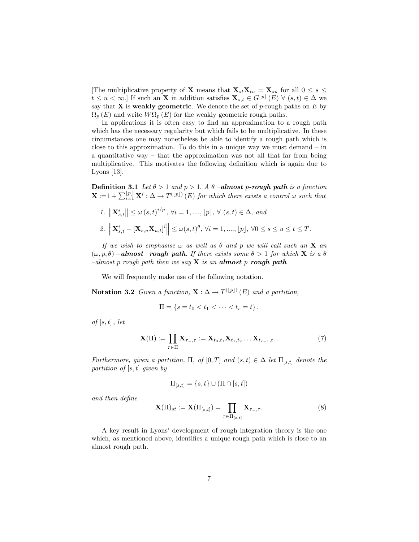[The multiplicative property of **X** means that  $\mathbf{X}_{st}\mathbf{X}_{tu} = \mathbf{X}_{su}$  for all  $0 \leq s \leq$  $t \leq u < \infty$ . If such an **X** in addition satisfies  $\mathbf{X}_{s,t} \in G^{[p]}(E)$   $\forall$   $(s,t) \in \Delta$  we say that **X** is weakly geometric. We denote the set of p-rough paths on  $E$  by  $\Omega_p(E)$  and write  $W\Omega_p(E)$  for the weakly geometric rough paths.

In applications it is often easy to find an approximation to a rough path which has the necessary regularity but which fails to be multiplicative. In these circumstances one may nonetheless be able to identify a rough path which is close to this approximation. To do this in a unique way we must demand  $-$  in a quantitative way  $-$  that the approximation was not all that far from being multiplicative. This motivates the following definition which is again due to Lyons [13].

**Definition 3.1** Let  $\theta > 1$  and  $p > 1$ . A  $\theta$  -**almost p-rough path** is a function  $\mathbf{X} := 1 + \sum_{i=1}^{\lfloor p \rfloor} \mathbf{X}^i : \Delta \to T^{(\lfloor p \rfloor)}(E)$  for which there exists a control  $\omega$  such that

1. 
$$
\|\mathbf{X}_{s,t}^i\| \le \omega(s,t)^{i/p}, \forall i = 1, ..., \lfloor p \rfloor, \forall (s,t) \in \Delta, \text{ and}
$$
  
\n2.  $\|\mathbf{X}_{s,t}^i - [\mathbf{X}_{s,u}\mathbf{X}_{u,t}]^i\| \le \omega(s,t)^\theta, \forall i = 1, ..., \lfloor p \rfloor, \forall 0 \le s \le u \le t \le T.$ 

If we wish to emphasise  $\omega$  as well as  $\theta$  and p we will call such an **X** an  $(\omega, p, \theta)$  – almost rough path. If there exists some  $\theta > 1$  for which **X** is a  $\theta$  $-almost$  p rough path then we say  $X$  is an almost p rough path

We will frequently make use of the following notation.

**Notation 3.2** Given a function,  $\mathbf{X}: \Delta \to T^{(\lfloor p \rfloor)}(E)$  and a partition,

$$
\Pi = \{ s = t_0 < t_1 < \cdots < t_r = t \},
$$

 $of [s, t]$ , let

$$
\mathbf{X}(\Pi) := \prod_{\tau \in \Pi} \mathbf{X}_{\tau_{-},\tau} := \mathbf{X}_{t_0,t_1} \mathbf{X}_{t_1,t_2} \dots \mathbf{X}_{t_{r-1},t_r}.
$$
 (7)

Furthermore, given a partition,  $\Pi$ , of  $[0, T]$  and  $(s, t) \in \Delta$  let  $\Pi_{[s,t]}$  denote the partition of  $[s, t]$  given by

$$
\Pi_{[s,t]} = \{s,t\} \cup (\Pi \cap [s,t])
$$

and then define

$$
\mathbf{X}(\Pi)_{st} := \mathbf{X}(\Pi_{[s,t]}) = \prod_{\tau \in \Pi_{[s,t]}} \mathbf{X}_{\tau_{-},\tau}.
$$
 (8)

A key result in Lyons' development of rough integration theory is the one which, as mentioned above, identifies a unique rough path which is close to an almost rough path.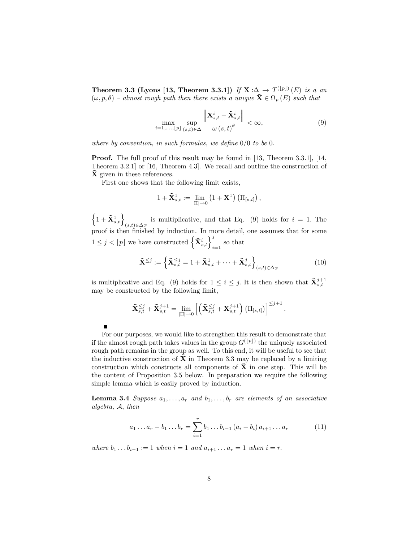Theorem 3.3 (Lyons [13, Theorem 3.3.1]) If  $X : \Delta \to T^{(\lfloor p \rfloor)}(E)$  is a an  $(\omega, p, \theta)$  – almost rough path then there exists a unique  $\mathbf{\tilde{X}} \in \Omega_p(E)$  such that

$$
\max_{i=1,\ldots,\lfloor p\rfloor} \sup_{(s,t)\in\Delta} \frac{\left\| \mathbf{X}_{s,t}^i - \tilde{\mathbf{X}}_{s,t}^i \right\|}{\omega\left(s,t\right)^\theta} < \infty,\tag{9}
$$

where by convention, in such formulas, we define  $0/0$  to be 0.

Proof. The full proof of this result may be found in [13, Theorem 3.3.1], [14, Theorem 3.2.1] or [16, Theorem 4.3]. We recall and outline the construction of  $\hat{\mathbf{X}}$  given in these references.

First one shows that the following limit exists,

$$
1+\tilde{\mathbf{X}}_{s,t}^{1}:=\lim_{|\Pi|\to 0}\left(1+\mathbf{X}^{1}\right)\left(\Pi_{[s,t]}\right),
$$

 $\left\{1+\tilde{\mathbf{X}}_{s,t}^{1}\right\}_{(s,t)\in\Delta_{T}}$  is multiplicative, and that Eq. (9) holds for  $i=1$ . The proof is then Önished by induction. In more detail, one assumes that for some  $1 \leq j < \lfloor p \rfloor$  we have constructed  $\left\{ \mathbf{\tilde{X}}_{s,t}^i \right\}_{i=1}^j$  so that

$$
\tilde{\mathbf{X}}^{\leq j} := \left\{ \tilde{\mathbf{X}}_{s,t}^{\leq j} = 1 + \tilde{\mathbf{X}}_{s,t}^1 + \dots + \tilde{\mathbf{X}}_{s,t}^j \right\}_{(s,t) \in \Delta_T} \tag{10}
$$

is multiplicative and Eq. (9) holds for  $1 \leq i \leq j$ . It is then shown that  $\tilde{\mathbf{X}}_{s,t}^{j+1}$ may be constructed by the following limit,

$$
\mathbf{\tilde{X}}_{s,t}^{\leq j} + \mathbf{\tilde{X}}_{s,t}^{j+1} = \lim_{|\Pi| \to 0} \left[ \left( \mathbf{\tilde{X}}_{s,t}^{\leq j} + \mathbf{X}_{s,t}^{j+1} \right) \left( \Pi_{[s,t]} \right) \right]^{\leq j+1}.
$$

For our purposes, we would like to strengthen this result to demonstrate that if the almost rough path takes values in the group  $G^{(\lfloor p\rfloor)}$  the uniquely associated rough path remains in the group as well. To this end, it will be useful to see that the inductive construction of  $X$  in Theorem 3.3 may be replaced by a limiting construction which constructs all components of  $X$  in one step. This will be the content of Proposition 3.5 below. In preparation we require the following simple lemma which is easily proved by induction.

**Lemma 3.4** Suppose  $a_1, \ldots, a_r$  and  $b_1, \ldots, b_r$  are elements of an associative algebra, A; then

$$
a_1 \dots a_r - b_1 \dots b_r = \sum_{i=1}^r b_1 \dots b_{i-1} (a_i - b_i) a_{i+1} \dots a_r \tag{11}
$$

where  $b_1 \t ... b_{i-1} := 1$  when  $i = 1$  and  $a_{i+1} ... a_r = 1$  when  $i = r$ .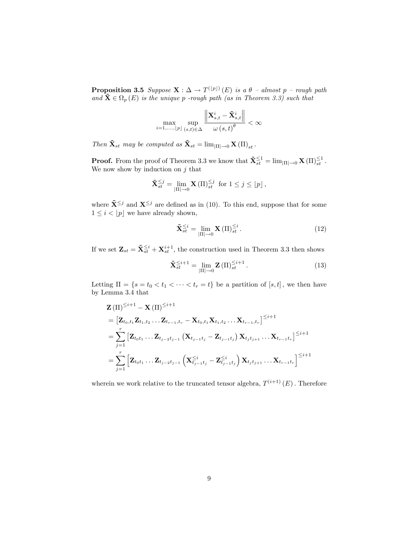**Proposition 3.5** Suppose  $\mathbf{X}: \Delta \to T^{(\lfloor p \rfloor)}(E)$  is a  $\theta$  - almost p - rough path and  $\mathbf{\tilde{X}} \in \Omega_p(E)$  is the unique p-rough path (as in Theorem 3.3) such that

$$
\max_{i=1,..., \lfloor p\rfloor} \sup_{(s,t)\in \Delta} \frac{\left\| {\bf X}^i_{s,t} - \tilde{\bf X}^i_{s,t} \right\|}{\omega\left(s,t\right)^{\theta}} < \infty
$$

Then  $\tilde{\mathbf{X}}_{st}$  may be computed as  $\tilde{\mathbf{X}}_{st} = \lim_{|\Pi| \to 0} \mathbf{X} (\Pi)_{st}$ .

**Proof.** From the proof of Theorem 3.3 we know that  $\mathbf{\tilde{X}}_{st}^{\leq 1} = \lim_{|\Pi| \to 0} \mathbf{X}(\Pi)_{st}^{\leq 1}$ . We now show by induction on  $j$  that

$$
\tilde{\mathbf{X}}_{st}^{\leq j} = \lim_{|\Pi| \to 0} \mathbf{X}(\Pi)_{st}^{\leq j} \text{ for } 1 \leq j \leq \lfloor p \rfloor,
$$

where  $\tilde{\mathbf{X}}^{\leq j}$  and  $\mathbf{X}^{\leq j}$  are defined as in (10). To this end, suppose that for some  $1 \leq i < |p|$  we have already shown,

$$
\tilde{\mathbf{X}}_{st}^{\leq i} = \lim_{|\Pi| \to 0} \mathbf{X} \left( \Pi \right)_{st}^{\leq i} . \tag{12}
$$

If we set  $\mathbf{Z}_{st} = \tilde{\mathbf{X}}_{st}^{\leq i} + \mathbf{X}_{st}^{i+1}$ , the construction used in Theorem 3.3 then shows

$$
\tilde{\mathbf{X}}_{st}^{\leq i+1} = \lim_{|\Pi| \to 0} \mathbf{Z}(\Pi)_{st}^{\leq i+1}.
$$
 (13)

Letting  $\Pi = \{s = t_0 < t_1 < \cdots < t_r = t\}$  be a partition of  $[s, t]$ , we then have by Lemma 3.4 that

$$
\mathbf{Z}(\Pi)^{\leq i+1} - \mathbf{X}(\Pi)^{\leq i+1}
$$
\n
$$
= [\mathbf{Z}_{t_0, t_1} \mathbf{Z}_{t_1, t_2} \dots \mathbf{Z}_{t_{r-1}, t_r} - \mathbf{X}_{t_0, t_1} \mathbf{X}_{t_1, t_2} \dots \mathbf{X}_{t_{r-1}, t_r}]^{\leq i+1}
$$
\n
$$
= \sum_{j=1}^r [\mathbf{Z}_{t_0 t_1} \dots \mathbf{Z}_{t_{j-2} t_{j-1}} (\mathbf{X}_{t_{j-1} t_j} - \mathbf{Z}_{t_{j-1} t_j}) \mathbf{X}_{t_j t_{j+1}} \dots \mathbf{X}_{t_{r-1} t_r}]^{\leq i+1}
$$
\n
$$
= \sum_{j=1}^r [\mathbf{Z}_{t_0 t_1} \dots \mathbf{Z}_{t_{j-2} t_{j-1}} (\mathbf{X}_{t_{j-1} t_j}^{\leq i} - \mathbf{Z}_{t_{j-1} t_j}^{\leq i}) \mathbf{X}_{t_j t_{j+1}} \dots \mathbf{X}_{t_{r-1} t_r}]^{\leq i+1}
$$

wherein we work relative to the truncated tensor algebra,  $T^{(i+1)}(E)$ . Therefore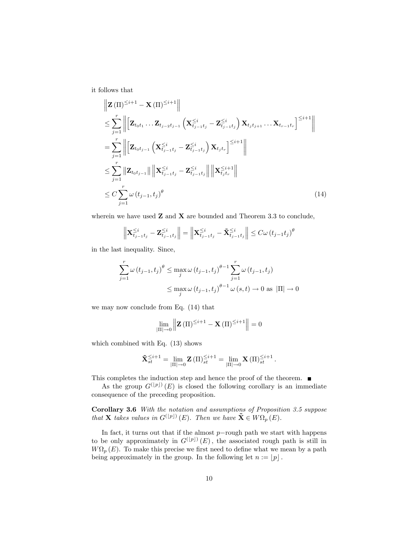it follows that

$$
\| \mathbf{Z}(\Pi)^{\leq i+1} - \mathbf{X}(\Pi)^{\leq i+1} \| \n\leq \sum_{j=1}^{r} \left\| \left[ \mathbf{Z}_{t_0 t_1} \dots \mathbf{Z}_{t_{j-2} t_{j-1}} \left( \mathbf{X}_{t_{j-1} t_j}^{\leq i} - \mathbf{Z}_{t_{j-1} t_j}^{\leq i} \right) \mathbf{X}_{t_j t_{j+1}} \dots \mathbf{X}_{t_{r-1} t_r} \right]^{ \leq i+1} \right\| \n= \sum_{j=1}^{r} \left\| \left[ \mathbf{Z}_{t_0 t_{j-1}} \left( \mathbf{X}_{t_{j-1} t_j}^{\leq i} - \mathbf{Z}_{t_{j-1} t_j}^{\leq i} \right) \mathbf{X}_{t_j t_r} \right]^{ \leq i+1} \right\| \n\leq \sum_{j=1}^{r} \left\| \mathbf{Z}_{t_0 t_{j-1}} \right\| \left\| \mathbf{X}_{t_{j-1} t_j}^{\leq i} - \mathbf{Z}_{t_{j-1} t_j}^{\leq i} \right\| \left\| \mathbf{X}_{t_j t_r}^{\leq i+1} \right\| \n\leq C \sum_{j=1}^{r} \omega(t_{j-1}, t_j)^{\theta}
$$
\n(14)

wherein we have used  $Z$  and  $X$  are bounded and Theorem 3.3 to conclude,

$$
\left\| \mathbf{X}_{t_{j-1}t_j}^{\leq i} - \mathbf{Z}_{t_{j-1}t_j}^{\leq i} \right\| = \left\| \mathbf{X}_{t_{j-1}t_j}^{\leq i} - \tilde{\mathbf{X}}_{t_{j-1}t_j}^{\leq i} \right\| \leq C \omega (t_{j-1}t_j)^{\theta}
$$

in the last inequality. Since,

$$
\sum_{j=1}^{r} \omega(t_{j-1}, t_j)^{\theta} \le \max_{j} \omega(t_{j-1}, t_j)^{\theta-1} \sum_{j=1}^{r} \omega(t_{j-1}, t_j)
$$
  

$$
\le \max_{j} \omega(t_{j-1}, t_j)^{\theta-1} \omega(s, t) \to 0 \text{ as } |\Pi| \to 0
$$

we may now conclude from Eq. (14) that

$$
\lim_{\left|\Pi\right|\to 0} \left\| \mathbf{Z}\left(\Pi\right)^{\leq i+1} - \mathbf{X}\left(\Pi\right)^{\leq i+1} \right\| = 0
$$

which combined with Eq. (13) shows

$$
\tilde{\mathbf{X}}_{st}^{\leq i+1} = \lim_{|\Pi| \to 0} \mathbf{Z}(\Pi)_{st}^{\leq i+1} = \lim_{|\Pi| \to 0} \mathbf{X}(\Pi)_{st}^{\leq i+1}.
$$

This completes the induction step and hence the proof of the theorem.  $\blacksquare$ 

As the group  $G^{(\lfloor p\rfloor)}(E)$  is closed the following corollary is an immediate consequence of the preceding proposition.

Corollary 3.6 With the notation and assumptions of Proposition 3.5 suppose that **X** takes values in  $G^{([p])}(E)$ . Then we have  $\mathbf{X} \in W\Omega_p(E)$ .

In fact, it turns out that if the almost  $p$ -rough path we start with happens to be only approximately in  $G^{(\lfloor p\rfloor)}(E)$ , the associated rough path is still in  $W\Omega_p(E)$ . To make this precise we first need to define what we mean by a path being approximately in the group. In the following let  $n := \lfloor p \rfloor$ .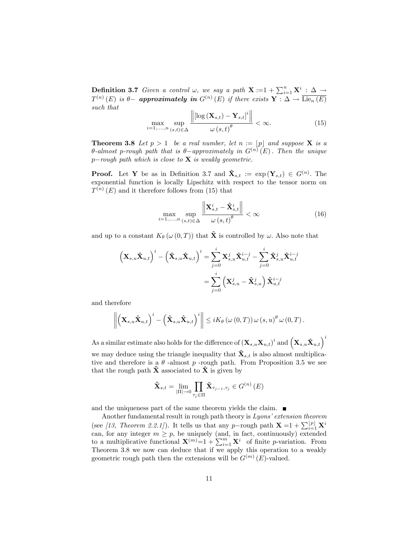**Definition 3.7** Given a control  $\omega$ , we say a path  $\mathbf{X} := 1 + \sum_{i=1}^{n} \mathbf{X}^i : \Delta \rightarrow$  $T^{(n)}(E)$  is  $\theta$ - approximately in  $G^{(n)}(E)$  if there exists  $\mathbf{Y}: \Delta \to \overline{\mathrm{Lie}_n(E)}$ such that  $\mathbf{r}$ 

$$
\max_{i=1,\ldots,n} \sup_{(s,t)\in\Delta} \frac{\left\| \left[ \log \left( \mathbf{X}_{s,t} \right) - \mathbf{Y}_{s,t} \right]^i \right\|}{\omega \left( s,t \right)^{\theta}} < \infty. \tag{15}
$$

**Theorem 3.8** Let  $p > 1$  be a real number, let  $n := |p|$  and suppose **X** is a  $\theta$ -almost p-rough path that is  $\theta$ -approximately in  $G^{(n)}(E)$ . Then the unique  $p$ -rough path which is close to **X** is weakly geometric.

**Proof.** Let **Y** be as in Definition 3.7 and  $\hat{\mathbf{X}}_{s,t} := \exp (\mathbf{Y}_{s,t}) \in G^{(n)}$ . The exponential function is locally Lipschitz with respect to the tensor norm on  $T^{(n)}(E)$  and it therefore follows from (15) that

$$
\max_{i=1,\ldots,n} \sup_{(s,t)\in\Delta} \frac{\left\| \mathbf{X}_{s,t}^i - \hat{\mathbf{X}}_{s,t}^i \right\|}{\omega \left(s,t\right)^{\theta}} < \infty \tag{16}
$$

and up to a constant  $K_{\theta}(\omega(0,T))$  that  $\hat{\mathbf{X}}$  is controlled by  $\omega$ . Also note that

$$
\begin{aligned} \left(\mathbf{X}_{s,u}\hat{\mathbf{X}}_{u,t}\right)^i - \left(\hat{\mathbf{X}}_{s,u}\hat{\mathbf{X}}_{u,t}\right)^i &= \sum_{j=0}^i \mathbf{X}_{s,u}^j\hat{\mathbf{X}}_{u,t}^{i-j} - \sum_{j=0}^i \hat{\mathbf{X}}_{s,u}^j\hat{\mathbf{X}}_{u,t}^{i-j} \\ &= \sum_{j=0}^i \left(\mathbf{X}_{s,u}^j - \hat{\mathbf{X}}_{s,u}^j\right)\hat{\mathbf{X}}_{u,t}^{i-j} \end{aligned}
$$

and therefore

$$
\left\| \left( \mathbf{X}_{s,u} \hat{\mathbf{X}}_{u,t} \right)^i - \left( \hat{\mathbf{X}}_{s,u} \hat{\mathbf{X}}_{u,t} \right)^i \right\| \leq i K_\theta \left( \omega\left(0,T\right) \right) \omega\left(s,u\right)^\theta \omega\left(0,T\right).
$$

As a similar estimate also holds for the difference of  $\left(\mathbf{X}_{s,u}\mathbf{X}_{u,t}\right)^i$  and  $\left(\mathbf{X}_{s,u}\mathbf{\hat{X}}_{u,t}\right)^i$ we may deduce using the triangle inequality that  $\hat{\mathbf{X}}_{s,t}$  is also almost multiplicative and therefore is a  $\theta$ -almost p-rough path. From Proposition 3.5 we see that the rough path  $\tilde{\mathbf{X}}$  associated to  $\hat{\mathbf{X}}$  is given by

$$
\tilde{\mathbf{X}}_{s,t}=\lim_{|\Pi|\to 0}\prod_{\tau_{j}\in\Pi}\hat{\mathbf{X}}_{\tau_{j-1},\tau_{j}}\in G^{\left(n\right)}\left(E\right)
$$

and the uniqueness part of the same theorem yields the claim.

Another fundamental result in rough path theory is  $Lyons' extension$  theorem (see [13, Theorem 2.2.1]). It tells us that any p-rough path  $\mathbf{X} = 1 + \sum_{i=1}^{\lfloor p \rfloor} \mathbf{X}^i$ can, for any integer  $m \geq p$ , be uniquely (and, in fact, continuously) extended to a multiplicative functional  $\mathbf{X}^{(m)} = 1 + \sum_{i=1}^{m} \mathbf{X}^i$  of finite p-variation. From Theorem 3.8 we now can deduce that if we apply this operation to a weakly geometric rough path then the extensions will be  $G^{(m)}(E)$ -valued.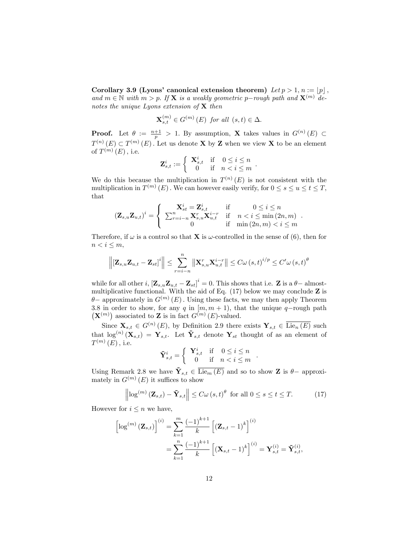Corollary 3.9 (Lyons' canonical extension theorem) Let  $p > 1$ ,  $n := \lfloor p \rfloor$ , and  $m \in \mathbb{N}$  with  $m > p$ . If **X** is a weakly geometric p-rough path and  $\mathbf{X}^{(m)}$  denotes the unique Lyons extension of  $X$  then

$$
\mathbf{X}_{s,t}^{(m)} \in G^{(m)}\left(E\right) \text{ for all } (s,t) \in \Delta.
$$

**Proof.** Let  $\theta := \frac{n+1}{p} > 1$ . By assumption, **X** takes values in  $G^{(n)}(E) \subset$  $T^{(n)}(E) \subset T^{(m)}(E)$ . Let us denote **X** by **Z** when we view **X** to be an element of  $T^{(m)}(E)$ , i.e.

$$
\mathbf{Z}_{s,t}^i := \left\{ \begin{array}{rcl} \mathbf{X}_{s,t}^i & \text{if} & 0 \le i \le n \\ 0 & \text{if} & n < i \le m \end{array} \right..
$$

We do this because the multiplication in  $T^{(n)}(E)$  is not consistent with the multiplication in  $T^{(m)}(E)$ . We can however easily verify, for  $0 \le s \le u \le t \le T$ , that

$$
\left(\mathbf{Z}_{s,u}\mathbf{Z}_{u,t}\right)^i = \begin{cases} \mathbf{X}_{st}^i = \mathbf{Z}_{s,t}^i & \text{if } 0 \le i \le n \\ \sum_{r=i-n}^n \mathbf{X}_{s,u}^r \mathbf{X}_{u,t}^{i-r} & \text{if } n < i \le \min(2n,m) \\ 0 & \text{if } \min(2n,m) < i \le m \end{cases}.
$$

Therefore, if  $\omega$  is a control so that **X** is  $\omega$ -controlled in the sense of (6), then for  $n < i \leq m$ ,

$$
\left\|\left[\mathbf{Z}_{s,u}\mathbf{Z}_{u,t}-\mathbf{Z}_{st}\right]^{i}\right\| \leq \sum_{r=i-n}^{n} \left\|\mathbf{X}_{s,u}^{r} \mathbf{X}_{u,t}^{i-r}\right\| \leq C \omega\left(s,t\right)^{i/p} \leq C' \omega\left(s,t\right)^{\theta}
$$

while for all other i,  $[\mathbf{Z}_{s,u}\mathbf{Z}_{u,t} - \mathbf{Z}_{st}]^i = 0$ . This shows that i.e.  $\mathbf{Z}$  is a  $\theta$ -almostmultiplicative functional. With the aid of Eq.  $(17)$  below we may conclude **Z** is  $\theta$  – approximately in  $G^{(m)}(E)$ . Using these facts, we may then apply Theorem 3.8 in order to show, for any q in  $[m, m + 1]$ , that the unique q-rough path  $(\mathbf{X}^{(m)})$  associated to **Z** is in fact  $G^{(m)}(E)$ -valued.

Since  $\mathbf{X}_{s,t} \in G^{(n)}(E)$ , by Definition 2.9 there exists  $\mathbf{Y}_{s,t} \in \overline{\mathrm{Lie}_n(E)}$  such that  $\log^{(n)}(\mathbf{X}_{s,t}) = \mathbf{Y}_{s,t}$ . Let  $\tilde{\mathbf{Y}}_{s,t}$  denote  $\mathbf{Y}_{st}$  thought of as an element of  $T^{\left( m\right) }\left( E\right) ,$  i.e.

$$
\tilde{\mathbf{Y}}_{s,t}^i = \left\{ \begin{array}{ccc} \mathbf{Y}_{s,t}^i & \text{if} & 0 \le i \le n \\ 0 & \text{if} & n < i \le m \end{array} \right.
$$

Using Remark 2.8 we have  $\tilde{\mathbf{Y}}_{s,t} \in \overline{\text{Lie}_m(E)}$  and so to show **Z** is  $\theta$ -approximately in  $G^{(m)}(E)$  it suffices to show

$$
\left\|\log^{(m)}\left(\mathbf{Z}_{s,t}\right)-\tilde{\mathbf{Y}}_{s,t}\right\| \leq C\omega\left(s,t\right)^{\theta} \text{ for all } 0 \leq s \leq t \leq T. \tag{17}
$$

:

However for  $i \leq n$  we have,

$$
\left[\log^{(m)}\left(\mathbf{Z}_{s,t}\right)\right]^{(i)} = \sum_{k=1}^{m} \frac{(-1)^{k+1}}{k} \left[\left(\mathbf{Z}_{s,t} - 1\right)^{k}\right]^{(i)} \n= \sum_{k=1}^{n} \frac{(-1)^{k+1}}{k} \left[\left(\mathbf{X}_{s,t} - 1\right)^{k}\right]^{(i)} = \mathbf{Y}_{s,t}^{(i)} = \tilde{\mathbf{Y}}_{s,t}^{(i)},
$$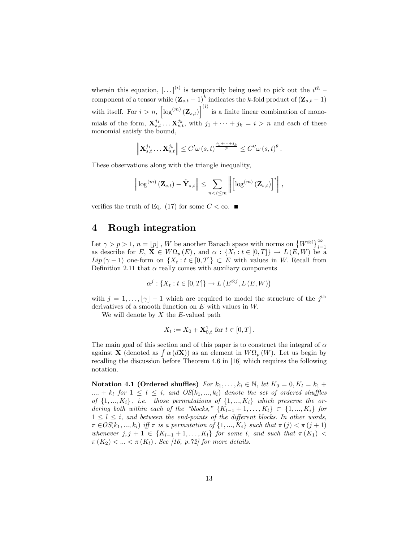wherein this equation,  $\left[ \ldots \right]^{(i)}$  is temporarily being used to pick out the  $i^{th}$  component of a tensor while  $(\mathbf{Z}_{s,t} - 1)^k$  indicates the k-fold product of  $(\mathbf{Z}_{s,t} - 1)$ with itself. For  $i > n$ ,  $\left[ \log^{(m)}(\mathbf{Z}_{s,t}) \right]^{(i)}$  is a finite linear combination of monomials of the form,  $\mathbf{X}_{s,t}^{j_1} \ldots \mathbf{X}_{s,t}^{j_k}$ , with  $j_1 + \cdots + j_k = i > n$  and each of these monomial satisfy the bound,

$$
\left\|\mathbf{X}_{s,t}^{j_1}\ldots\mathbf{X}_{s,t}^{j_k}\right\|\leq C'\omega\left(s,t\right)^{\frac{j_1+\cdots+j_k}{p}}\leq C''\omega\left(s,t\right)^{\theta}.
$$

These observations along with the triangle inequality,

$$
\left\|\log^{(m)}\left(\mathbf{Z}_{s,t}\right)-\tilde{\mathbf{Y}}_{s,t}\right\| \leq \sum_{n
$$

verifies the truth of Eq. (17) for some  $C < \infty$ .

### 4 Rough integration

Let  $\gamma > p > 1$ ,  $n = \lfloor p \rfloor$ , W be another Banach space with norms on  $\{W^{\otimes i}\}_{i=1}^{\infty}$ as describe for  $E, \overline{\mathbf{X}} \in W\Omega_p(E)$ , and  $\alpha : \{X_t : t \in [0,T]\} \to L(E,W)$  be a  $Lip(\gamma-1)$  one-form on  $\{X_t : t \in [0,T]\}\subset E$  with values in W. Recall from Definition 2.11 that  $\alpha$  really comes with auxiliary components

$$
\alpha^{j} : \{X_{t} : t \in [0, T]\} \to L\left(E^{\otimes j}, L\left(E, W\right)\right)
$$

with  $j = 1, ..., \lfloor \gamma \rfloor - 1$  which are required to model the structure of the  $j^{\text{th}}$ derivatives of a smooth function on  $E$  with values in  $W$ .

We will denote by  $X$  the  $E$ -valued path

$$
X_t := X_0 + \mathbf{X}_{0,t}^1 \text{ for } t \in [0,T].
$$

The main goal of this section and of this paper is to construct the integral of  $\alpha$ against **X** (denoted as  $\int \alpha (d\mathbf{X})$ ) as an element in  $W\Omega_p(W)$ . Let us begin by recalling the discussion before Theorem 4.6 in [16] which requires the following notation.

Notation 4.1 (Ordered shuffles) For  $k_1, \ldots, k_i \in \mathbb{N}$ , let  $K_0 = 0, K_l = k_1 +$  $\ldots + k_l$  for  $1 \leq l \leq i$ , and  $OS(k_1, ..., k_i)$  denote the set of ordered shuffles of  $\{1, ..., K_i\}$ , i.e. those permutations of  $\{1, ..., K_i\}$  which preserve the ordering both within each of the "blocks,"  $\{K_{l-1} + 1, \ldots, K_l\} \subset \{1, ..., K_i\}$  for  $1 \leq l \leq i$ , and between the end-points of the different blocks. In other words,  $\pi \in OS(k_1, ..., k_i)$  iff  $\pi$  is a permutation of  $\{1, ..., K_i\}$  such that  $\pi(j) < \pi(j+1)$ whenever  $j, j + 1 \in \{K_{l-1} + 1, \ldots, K_l\}$  for some l, and such that  $\pi(K_1)$  <  $\pi(K_2) < ... < \pi(K_l)$ . See [16, p.72] for more details.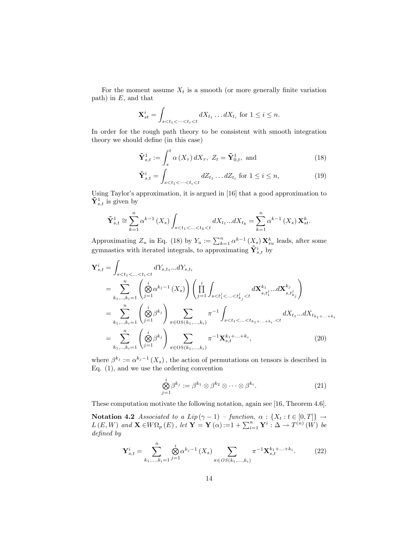For the moment assume  $X_t$  is a smooth (or more generally finite variation path) in  $E$ , and that

$$
\mathbf{X}_{st}^i = \int_{s < t_1 < \dots < t_i < t} dX_{t_1} \dots dX_{t_i} \text{ for } 1 \leq i \leq n.
$$

In order for the rough path theory to be consistent with smooth integration theory we should define (in this case)

$$
\tilde{\mathbf{Y}}_{s,t}^{1} := \int_{s}^{t} \alpha\left(X_{\tau}\right) dX_{\tau}, \ Z_{t} = \tilde{\mathbf{Y}}_{0,t}^{1}, \text{ and} \tag{18}
$$

$$
\tilde{\mathbf{Y}}_{s,t}^{i} = \int_{s < t_1 < \dots < t_i < t} dZ_{t_1} \dots dZ_{t_i} \text{ for } 1 \leq i \leq n,\tag{19}
$$

Using Taylor's approximation, it is argued in [16] that a good approximation to  $\tilde{\mathbf{Y}}_{s,t}^1$  is given by

$$
\tilde{\mathbf{Y}}_{s,t}^{1} \cong \sum_{k=1}^{n} \alpha^{k-1} \left( X_{s} \right) \int_{s < t_{1} < \ldots < t_{k} < t} dX_{t_{1}} \ldots dX_{t_{k}} = \sum_{k=1}^{n} \alpha^{k-1} \left( X_{s} \right) \mathbf{X}_{st}^{k}.
$$

Approximating  $Z_u$  in Eq. (18) by  $Y_u := \sum_{k=1}^n \alpha^{k-1} (X_s) \mathbf{X}_{su}^k$  leads, after some gymnastics with iterated integrals, to approximating  $\tilde{\mathbf{Y}}_{s,t}^{i}$  by

$$
\mathbf{Y}_{s,t}^{i} = \int_{s < t_1 < \ldots < t_i < t} dY_{s,t_1} \ldots dY_{s,t_i}
$$
\n
$$
= \sum_{k_1, \ldots, k_i = 1}^n \left( \bigotimes_{j=1}^i \alpha^{k_j - 1} (X_s) \right) \left( \prod_{j=1}^i \int_{s < t_1^j < \ldots < t_{k_j}^j < t} d\mathbf{X}_{s,t_1^j}^{k_1} \ldots d\mathbf{X}_{s,t_{k_j}^j}^{k_j} \right)
$$
\n
$$
= \sum_{k_1, \ldots, k_i = 1}^n \left( \bigotimes_{j=1}^i \beta^{k_j} \right) \sum_{\pi \in \text{OS}(k_1, \ldots, k_i)} \pi^{-1} \int_{s < t_1 < \ldots < t_{k_1 + \ldots + k_i} < t} dX_{t_1} \ldots dX_{t_{k_1 + \ldots + k_i}}
$$
\n
$$
= \sum_{k_1, \ldots, k_i = 1}^n \left( \bigotimes_{j=1}^i \beta^{k_j} \right) \sum_{\pi \in \text{OS}(k_1, \ldots, k_i)} \pi^{-1} \mathbf{X}_{s,t}^{k_1 + \ldots + k_i}, \tag{20}
$$

where  $\beta^{k_j} := \alpha^{k_j - 1}(X_s)$ , the action of permutations on tensors is described in Eq. (1), and we use the ordering convention

$$
\bigotimes_{j=1}^{i} \beta^{k_j} := \beta^{k_1} \otimes \beta^{k_2} \otimes \cdots \otimes \beta^{k_i}.
$$
\n(21)

These computation motivate the following notation, again see [16, Theorem 4.6].

Notation 4.2 Associated to a Lip $(\gamma - 1)$  - function,  $\alpha : \{X_t : t \in [0, T]\} \rightarrow$  $L(E, W)$  and  $\mathbf{X} \in W\Omega_p(E)$ , let  $\mathbf{Y} = \mathbf{Y}(\alpha) := 1 + \sum_{i=1}^n \mathbf{Y}^i : \Delta \to T^{(n)}(W)$  be defined by

$$
\mathbf{Y}_{s,t}^{i} = \sum_{k_1,\dots,k_i=1}^{n} \bigotimes_{j=1}^{i} \alpha^{k_j-1}(X_s) \sum_{\pi \in OS(k_1,\dots,k_i)} \pi^{-1} \mathbf{X}_{s,t}^{k_1 + \dots + k_i}.
$$
 (22)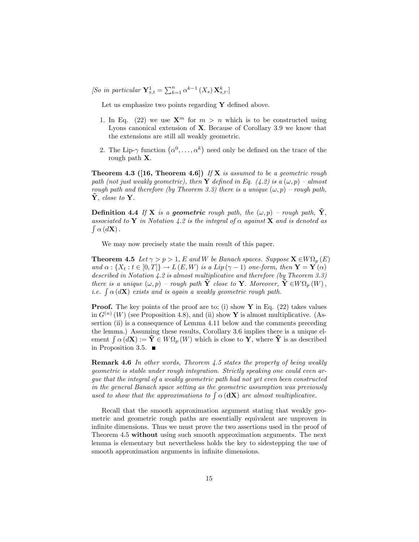[So in particular  $\mathbf{Y}_{s,t}^1 = \sum_{k=1}^n \alpha^{k-1} (X_s) \mathbf{X}_{s,t}^k$ .]

Let us emphasize two points regarding  $Y$  defined above.

- 1. In Eq. (22) we use  $\mathbf{X}^m$  for  $m > n$  which is to be constructed using Lyons canonical extension of  $X$ . Because of Corollary 3.9 we know that the extensions are still all weakly geometric.
- 2. The Lip- $\gamma$  function  $(\alpha^0, \ldots, \alpha^k)$  need only be defined on the trace of the rough path X:

**Theorem 4.3 ([16, Theorem 4.6])** If **X** is assumed to be a geometric rough path (not just weakly geometric), then Y defined in Eq. (4.2) is a  $(\omega, p)$  – almost rough path and therefore (by Theorem 3.3) there is a unique  $(\omega, p)$  – rough path,  $Y, close to Y.$ 

**Definition 4.4** If **X** is a **geometric** rough path, the  $(\omega, p)$  – rough path, Y. associated to Y in Notation 4.2 is the integral of  $\alpha$  against X and is denoted as  $\int \alpha \, (d\mathbf{X})$ .

We may now precisely state the main result of this paper.

**Theorem 4.5** Let  $\gamma > p > 1$ , E and W be Banach spaces. Suppose  $\mathbf{X} \in W\Omega_p(E)$ and  $\alpha$ :  $\{X_t : t \in [0,T]\} \to L(E, W)$  is a Lip  $(\gamma - 1)$  one-form, then  $Y = Y(\alpha)$ described in Notation 4.2 is almost multiplicative and therefore (by Theorem 3.3) there is a unique  $(\omega, p)$  – rough path  $\tilde{\mathbf{Y}}$  close to **Y**. Moreover,  $\tilde{\mathbf{Y}} \in W\Omega_p(W)$ , *i.e.*  $\int \alpha(d\mathbf{X})$  exists and is again a weakly geometric rough path.

**Proof.** The key points of the proof are to; (i) show  $\bf{Y}$  in Eq. (22) takes values in  $G^{(n)}(W)$  (see Proposition 4.8), and (ii) show Y is almost multiplicative. (Assertion (ii) is a consequence of Lemma 4.11 below and the comments preceding the lemma.) Assuming these results, Corollary 3.6 implies there is a unique element  $\int \alpha (d\mathbf{X}) := \tilde{\mathbf{Y}} \in W\Omega_p(W)$  which is close to Y, where  $\tilde{\mathbf{Y}}$  is as described in Proposition 3.5.

Remark 4.6 In other words, Theorem 4.5 states the property of being weakly geometric is stable under rough integration. Strictly speaking one could even argue that the integral of a weakly geometric path had not yet even been constructed in the general Banach space setting as the geometric assumption was previously used to show that the approximations to  $\int \alpha (\mathbf{dX})$  are almost multiplicative.

Recall that the smooth approximation argument stating that weakly geometric and geometric rough paths are essentially equivalent are unproven in infinite dimensions. Thus we must prove the two assertions used in the proof of Theorem 4.5 without using such smooth approximation arguments. The next lemma is elementary but nevertheless holds the key to sidestepping the use of smooth approximation arguments in infinite dimensions.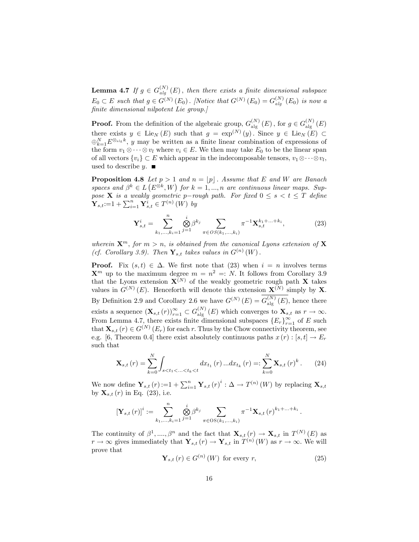**Lemma 4.7** If  $g \in G_{alg}^{(N)}(E)$ , then there exists a finite dimensional subspace  $E_0 \subset E$  such that  $g \in G^{(N)}(E_0)$ . [Notice that  $G^{(N)}(E_0) = G_{alg}^{(N)}(E_0)$  is now a finite dimensional nilpotent Lie group.]

**Proof.** From the definition of the algebraic group,  $G_{\text{alg}}^{(N)}(E)$ , for  $g \in G_{\text{alg}}^{(N)}(E)$ there exists  $y \in \text{Lie}_N(E)$  such that  $g = \exp^{(N)}(y)$ . Since  $y \in \text{Lie}_N(E) \subset$  $\bigoplus_{k=1}^{N} E^{\otimes_{\text{alg}} k}$ , y may be written as a finite linear combination of expressions of the form  $v_1 \otimes \cdots \otimes v_l$  where  $v_i \in E$ . We then may take  $E_0$  to be the linear span of all vectors  $\{v_i\} \subset E$  which appear in the indecomposable tensors,  $v_1 \otimes \cdots \otimes v_l$ , used to describe  $y$ .

**Proposition 4.8** Let  $p > 1$  and  $n = p$ . Assume that E and W are Banach spaces and  $\beta^k \in L(E^{\otimes k}, W)$  for  $k = 1, ..., n$  are continuous linear maps. Suppose **X** is a weakly geometric p-rough path. For fixed  $0 \leq s < t \leq T$  define  $\mathbf{Y}_{s,t} = 1 + \sum_{i=1}^{n} \mathbf{Y}_{s,t}^{i} \in T^{(n)}(W)$  by

$$
\mathbf{Y}_{s,t}^{i} = \sum_{k_1,\dots,k_i=1}^{n} \bigotimes_{j=1}^{i} \beta^{k_j} \sum_{\pi \in OS(k_1,\dots,k_i)} \pi^{-1} \mathbf{X}_{s,t}^{k_1 + \dots + k_i},\tag{23}
$$

wherein  $\mathbf{X}^m$ , for  $m > n$ , is obtained from the canonical Lyons extension of **X** (cf. Corollary 3.9). Then  $\mathbf{Y}_{s,t}$  takes values in  $G^{(n)}(W)$ .

**Proof.** Fix  $(s,t) \in \Delta$ . We first note that (23) when  $i = n$  involves terms  $\mathbf{X}^m$  up to the maximum degree  $m = n^2 = N$ . It follows from Corollary 3.9 that the Lyons extension  $\mathbf{X}^{(N)}$  of the weakly geometric rough path  $\mathbf{X}$  takes values in  $G^{(N)}(E)$ . Henceforth will denote this extension  $\mathbf{X}^{(N)}$  simply by X. By Definition 2.9 and Corollary 2.6 we have  $G^{(N)}(E) = G_{\text{alg}}^{(N)}(E)$ , hence there exists a sequence  $(\mathbf{X}_{s,t}(r))_{r=1}^{\infty} \subset G_{\text{alg}}^{(N)}(E)$  which converges to  $\mathbf{X}_{s,t}$  as  $r \to \infty$ . From Lemma 4.7, there exists finite dimensional subspaces  $\{E_r\}_{r=1}^{\infty}$  of E such that  $\mathbf{X}_{s,t}(r) \in G^{(N)}(E_r)$  for each r. Thus by the Chow connectivity theorem, see e.g. [6, Theorem 0.4] there exist absolutely continuous paths  $x(r): [s, t] \to E_r$ such that

$$
\mathbf{X}_{s,t}(r) = \sum_{k=0}^{N} \int_{s < t_1 < \ldots < t_k < t} dx_{t_1}(r) \ldots dx_{t_k}(r) =: \sum_{k=0}^{N} \mathbf{X}_{s,t}(r)^k. \tag{24}
$$

We now define  $\mathbf{Y}_{s,t}(r) := 1 + \sum_{i=1}^{n} \mathbf{Y}_{s,t}(r)^{i} : \Delta \to T^{(n)}(W)$  by replacing  $\mathbf{X}_{s,t}$ by  ${\bf X}_{s,t}(r)$  in Eq. (23), i.e.

$$
\left[\mathbf{Y}_{s,t}\left(r\right)\right]^{i} := \sum_{k_1,\dots,k_i=1}^{n} \bigotimes_{j=1}^{i} \beta^{k_j} \sum_{\pi \in \text{OS}(k_1,\dots,k_i)} \pi^{-1} \mathbf{X}_{s,t}\left(r\right)^{k_1+\dots+k_i}.
$$

The continuity of  $\beta^1, ..., \beta^n$  and the fact that  $\mathbf{X}_{s,t}(r) \to \mathbf{X}_{s,t}$  in  $T^{(N)}(E)$  as  $r \to \infty$  gives immediately that  $\mathbf{Y}_{s,t} (r) \to \mathbf{Y}_{s,t}$  in  $T^{(n)}(W)$  as  $r \to \infty$ . We will prove that

$$
\mathbf{Y}_{s,t}\left(r\right) \in G^{\left(n\right)}\left(W\right) \text{ for every } r,\tag{25}
$$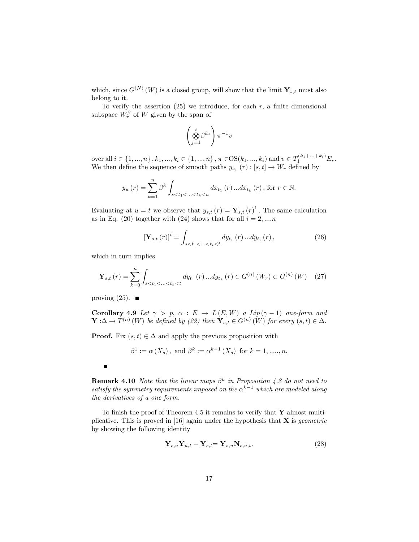which, since  $G^{(N)}(W)$  is a closed group, will show that the limit  $\mathbf{Y}_{s,t}$  must also belong to it.

To verify the assertion  $(25)$  we introduce, for each r, a finite dimensional subspace  $W_r^{\beta}$  of W given by the span of

$$
\left(\bigotimes_{j=1}^i \beta^{k_j}\right) \pi^{-1} v
$$

over all  $i \in \{1, ..., n\}$ ,  $k_1, ..., k_i \in \{1, ..., n\}$ ,  $\pi \in \text{OS}(k_1, ..., k_i)$  and  $v \in T_1^{(k_1 + ... + k_i)}E_r$ . We then define the sequence of smooth paths  $y_{s,r}(r) : [s, t] \to W_r$  defined by

$$
y_{u}(r) = \sum_{k=1}^{n} \beta^{k} \int_{s < t_{1} < ... < t_{k} < u} dx_{t_{1}}(r) ... dx_{t_{k}}(r), \text{ for } r \in \mathbb{N}.
$$

Evaluating at  $u = t$  we observe that  $y_{s,t}(r) = \mathbf{Y}_{s,t}(r)^{1}$ . The same calculation as in Eq. (20) together with (24) shows that for all  $i = 2, ..., n$ 

$$
\left[\mathbf{Y}_{s,t}\left(r\right)\right]^{i} = \int_{s < t_{1} < \ldots < t_{i} < t} dy_{t_{1}}\left(r\right) \ldots dy_{t_{i}}\left(r\right),\tag{26}
$$

which in turn implies

$$
\mathbf{Y}_{s,t}(r) = \sum_{k=0}^{n} \int_{s < t_1 < \ldots < t_k < t} dy_{t_1}(r) \ldots dy_{t_k}(r) \in G^{(n)}(W_r) \subset G^{(n)}(W) \tag{27}
$$

proving  $(25)$ .

**Corollary 4.9** Let  $\gamma > p$ ,  $\alpha : E \to L(E, W)$  a Lip( $\gamma - 1$ ) one-form and  $\mathbf{Y}: \Delta \to T^{(n)}(W)$  be defined by (22) then  $\mathbf{Y}_{s,t} \in G^{(n)}(W)$  for every  $(s,t) \in \Delta$ .

**Proof.** Fix  $(s, t) \in \Delta$  and apply the previous proposition with

$$
\beta^{1} := \alpha(X_{s}), \text{ and } \beta^{k} := \alpha^{k-1}(X_{s}) \text{ for } k = 1, \dots, n.
$$

**Remark 4.10** Note that the linear maps  $\beta^k$  in Proposition 4.8 do not need to satisfy the symmetry requirements imposed on the  $\alpha^{k-1}$  which are modeled along the derivatives of a one form.

To finish the proof of Theorem 4.5 it remains to verify that  $\bf{Y}$  almost multiplicative. This is proved in [16] again under the hypothesis that  $X$  is *geometric* by showing the following identity

$$
\mathbf{Y}_{s,u}\mathbf{Y}_{u,t} - \mathbf{Y}_{s,t} = \mathbf{Y}_{s,u}\mathbf{N}_{s,u,t}.\tag{28}
$$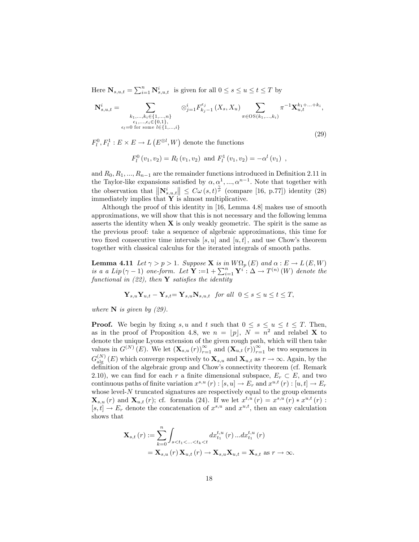Here  $\mathbf{N}_{s,u,t} = \sum_{i=1}^{n} \mathbf{N}_{s,u,t}^{i}$  is given for all  $0 \leq s \leq u \leq t \leq T$  by

$$
\mathbf{N}_{s,u,t}^{i} = \sum_{\substack{k_1,\ldots,k_i \in \{1,\ldots,n\} \\ \epsilon_1,\ldots,\epsilon_i \in \{0,1\}, \\ \epsilon_l = 0 \text{ for some } l \in \{1,\ldots,i\}}} \otimes_{j=1}^{i} F_{k_j-1}^{\epsilon_j} (X_s, X_u) \sum_{\pi \in \text{OS}(k_1,\ldots,k_i)} \pi^{-1} \mathbf{X}_{u,t}^{k_1+\ldots+k_i},
$$
\n(29)

 $F_l^0, F_l^1: E \times E \to L(E^{\otimes l}, W)$  denote the functions

$$
F_l^0(v_1, v_2) = R_l(v_1, v_2)
$$
 and  $F_l^1(v_1, v_2) = -\alpha^l(v_1)$ ,

and  $R_0, R_1, ..., R_{n-1}$  are the remainder functions introduced in Definition 2.11 in the Taylor-like expansions satisfied by  $\alpha, \alpha^1, ..., \alpha^{n-1}$ . Note that together with the observation that  $\|\mathbf{N}_{s,u,t}^i\| \leq C\omega(s,t)^{\frac{\gamma}{p}}$  (compare [16, p.77]) identity (28) immediately implies that  $\mathbf{\hat{Y}}$  is almost multiplicative.

Although the proof of this identity in [16, Lemma 4.8] makes use of smooth approximations, we will show that this is not necessary and the following lemma asserts the identity when  $X$  is only weakly geometric. The spirit is the same as the previous proof: take a sequence of algebraic approximations, this time for two fixed consecutive time intervals  $[s, u]$  and  $[u, t]$ , and use Chow's theorem together with classical calculus for the iterated integrals of smooth paths.

**Lemma 4.11** Let  $\gamma > p > 1$ . Suppose **X** is in  $W\Omega_p(E)$  and  $\alpha : E \to L(E, W)$ is a a Lip( $\gamma - 1$ ) one-form. Let  $\mathbf{Y} := 1 + \sum_{i=1}^{n} \mathbf{Y}^{i} : \Delta \to T^{(n)}(W)$  denote the functional in  $(22)$ , then **Y** satisfies the identity

$$
\mathbf{Y}_{s,u}\mathbf{Y}_{u,t} - \mathbf{Y}_{s,t} = \mathbf{Y}_{s,u}\mathbf{N}_{s,u,t} \quad \text{for all} \quad 0 \le s \le u \le t \le T,
$$

where  $N$  is given by (29).

**Proof.** We begin by fixing s, u and t such that  $0 \leq s \leq u \leq t \leq T$ . Then, as in the proof of Proposition 4.8, we  $n = |p|$ ,  $N = n^2$  and relabel **X** to denote the unique Lyons extension of the given rough path, which will then take values in  $G^{(N)}(E)$ . We let  $(\mathbf{X}_{s,u}(r))_{r=1}^{\infty}$  and  $(\mathbf{X}_{u,t}(r))_{r=1}^{\infty}$  be two sequences in  $G_{\text{alg}}^{(N)}(E)$  which converge respectively to  $\mathbf{X}_{s,u}$  and  $\mathbf{X}_{u,t}$  as  $r \to \infty$ . Again, by the definition of the algebraic group and Chow's connectivity theorem (cf. Remark 2.10), we can find for each r a finite dimensional subspace,  $E_r \subset E$ , and two continuous paths of finite variation  $x^{s,u}(r) : [s, u] \to E_r$  and  $x^{u,t}(r) : [u, t] \to E_r$ whose level- $N$  truncated signatures are respectively equal to the group elements  $\mathbf{X}_{s,u}(r)$  and  $\mathbf{X}_{u,t}(r)$ ; cf. formula (24). If we let  $x^{t,u}(r) = x^{s,u}(r) * x^{u,t}(r)$ :  $[s, t] \to E_r$  denote the concatenation of  $x^{s,u}$  and  $x^{u,t}$ , then an easy calculation shows that

$$
\mathbf{X}_{s,t}(r) := \sum_{k=0}^{n} \int_{s < t_1 < ... < t_k < t} dx_{t_1}^{t,u}(r) \dots dx_{t_1}^{t,u}(r)
$$
\n
$$
= \mathbf{X}_{s,u}(r) \mathbf{X}_{u,t}(r) \to \mathbf{X}_{s,u} \mathbf{X}_{u,t} = \mathbf{X}_{s,t} \text{ as } r \to \infty.
$$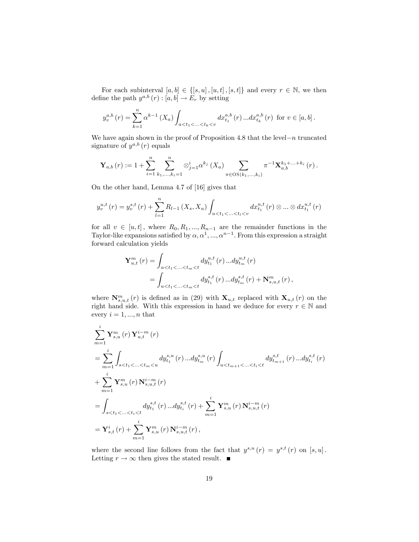For each subinterval  $[a, b] \in \{[s, u], [u, t], [s, t]\}$  and every  $r \in \mathbb{N}$ , we then define the path  $y^{a,b}(r): [a,b] \to E_r$  by setting

$$
y_v^{a,b}(r) = \sum_{k=1}^n \alpha^{k-1} (X_a) \int_{a < t_1 < ... < t_k < v} dx_{t_1}^{a,b}(r) ... dx_{t_k}^{a,b}(r)
$$
 for  $v \in [a, b]$ .

We have again shown in the proof of Proposition 4.8 that the level- $n$  truncated signature of  $y^{a,b}(r)$  equals

$$
\mathbf{Y}_{a,b}(r) := 1 + \sum_{i=1}^{n} \sum_{k_1,\ldots,k_i=1}^{n} \otimes_{j=1}^{i} \alpha^{k_j} (X_a) \sum_{\pi \in OS(k_1,\ldots,k_i)} \pi^{-1} \mathbf{X}_{a,b}^{k_1+\ldots+k_i} (r).
$$

On the other hand, Lemma 4.7 of [16] gives that

$$
y_v^{u,t}(r) = y_v^{s,t}(r) + \sum_{l=1}^n R_{l-1}(X_s, X_u) \int_{u \le t_1 < \ldots < t_l < v} dx_{t_1}^{u,t}(r) \otimes \ldots \otimes dx_{t_1}^{u,t}(r)
$$

for all  $v \in [u, t]$ , where  $R_0, R_1, ..., R_{n-1}$  are the remainder functions in the Taylor-like expansions satisfied by  $\alpha, \alpha^1, ..., \alpha^{n-1}$ . From this expression a straight forward calculation yields

$$
\mathbf{Y}_{u,t}^{m}(r) = \int_{u < t_1 < \ldots < t_m < t} dy_{t_1}^{u,t}(r) \ldots dy_{t_m}^{u,t}(r)
$$
\n
$$
= \int_{u < t_1 < \ldots < t_m < t} dy_{t_1}^{s,t}(r) \ldots dy_{t_m}^{s,t}(r) + \mathbf{N}_{s,u,t}^{m}(r),
$$

where  $\mathbf{N}_{s,u,t}^m(r)$  is defined as in (29) with  $\mathbf{X}_{u,t}$  replaced with  $\mathbf{X}_{u,t}(r)$  on the right hand side. With this expression in hand we deduce for every  $r \in \mathbb{N}$  and every  $i = 1, ..., n$  that

$$
\sum_{m=1}^{i} \mathbf{Y}_{s,u}^{m}(r) \mathbf{Y}_{u,t}^{i-m}(r)
$$
\n
$$
= \sum_{m=1}^{i} \int_{s < t_{1} < ... < t_{m} < u} dy_{t_{1}}^{s,u}(r) ... dy_{t_{m}}^{s,u}(r) \int_{u < t_{m+1} < ... < t_{i} < t} dy_{t_{m+1}}^{s,t}(r) ... dy_{t_{i}}^{s,t}(r)
$$
\n
$$
+ \sum_{m=1}^{i} \mathbf{Y}_{s,u}^{m}(r) \mathbf{N}_{s,u,t}^{i-m}(r)
$$
\n
$$
= \int_{s < t_{1} < ... < t_{i} < t} dy_{t_{1}}^{s,t}(r) ... dy_{t_{i}}^{s,t}(r) + \sum_{m=1}^{i} \mathbf{Y}_{s,u}^{m}(r) \mathbf{N}_{s,u,t}^{i-m}(r)
$$
\n
$$
= \mathbf{Y}_{s,t}^{i}(r) + \sum_{m=1}^{i} \mathbf{Y}_{s,u}^{m}(r) \mathbf{N}_{s,u,t}^{i-m}(r),
$$

where the second line follows from the fact that  $y^{s,u}(r) = y^{s,t}(r)$  on  $[s, u]$ . Letting  $r \to \infty$  then gives the stated result.  $\blacksquare$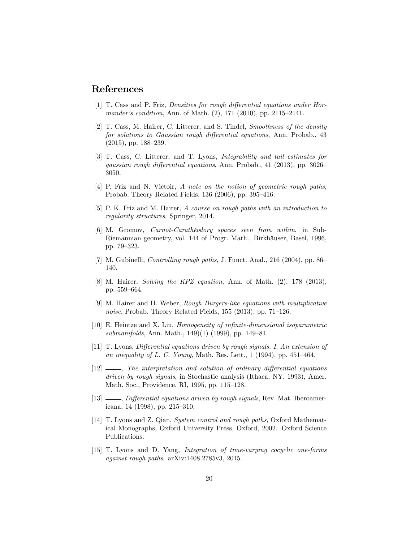### References

- $[1]$  T. Cass and P. Friz, *Densities for rough differential equations under Hör*mander's condition, Ann. of Math.  $(2)$ , 171  $(2010)$ , pp. 2115–2141.
- [2] T. Cass, M. Hairer, C. Litterer, and S. Tindel, Smoothness of the density for solutions to Gaussian rough differential equations, Ann. Probab., 43  $(2015)$ , pp. 188–239.
- [3] T. Cass, C. Litterer, and T. Lyons, Integrability and tail estimates for gaussian rough differential equations, Ann. Probab., 41 (2013), pp. 3026 $-$ 3050.
- [4] P. Friz and N. Victoir, A note on the notion of geometric rough paths, Probab. Theory Related Fields,  $136$  (2006), pp. 395–416.
- [5] P. K. Friz and M. Hairer, A course on rough paths with an introduction to regularity structures. Springer, 2014.
- [6] M. Gromov, *Carnot-Carathéodory spaces seen from within*, in Sub-Riemannian geometry, vol. 144 of Progr. Math., Birkhäuser, Basel, 1996, pp. 79-323.
- $[7]$  M. Gubinelli, *Controlling rough paths*, J. Funct. Anal., 216 (2004), pp. 86– 140.
- [8] M. Hairer, Solving the KPZ equation, Ann. of Math. (2), 178 (2013), pp. 559–664.
- [9] M. Hairer and H. Weber, Rough Burgers-like equations with multiplicative noise, Probab. Theory Related Fields,  $155$  (2013), pp. 71–126.
- [10] E. Heintze and X. Liu, *Homogeneity of infinite-dimensional isoparametric* submanifolds, Ann. Math., 149 $(1)$  (1999), pp. 149–81.
- [11] T. Lyons, Differential equations driven by rough signals. I. An extension of an inequality of L. C. Young, Math. Res. Lett.,  $1$  (1994), pp. 451–464.
- $[12]$  , The interpretation and solution of ordinary differential equations driven by rough signals, in Stochastic analysis (Ithaca, NY, 1993), Amer. Math. Soc., Providence, RI, 1995, pp. 115–128.
- [13]  $\_\_\_\_\$ n Differential equations driven by rough signals, Rev. Mat. Iberoamericana, 14 (1998), pp. 215–310.
- [14] T. Lyons and Z. Qian, System control and rough paths, Oxford Mathematical Monographs, Oxford University Press, Oxford, 2002. Oxford Science Publications.
- [15] T. Lyons and D. Yang, Integration of time-varying cocyclic one-forms against rough paths. arXiv:1408.2785v3, 2015.